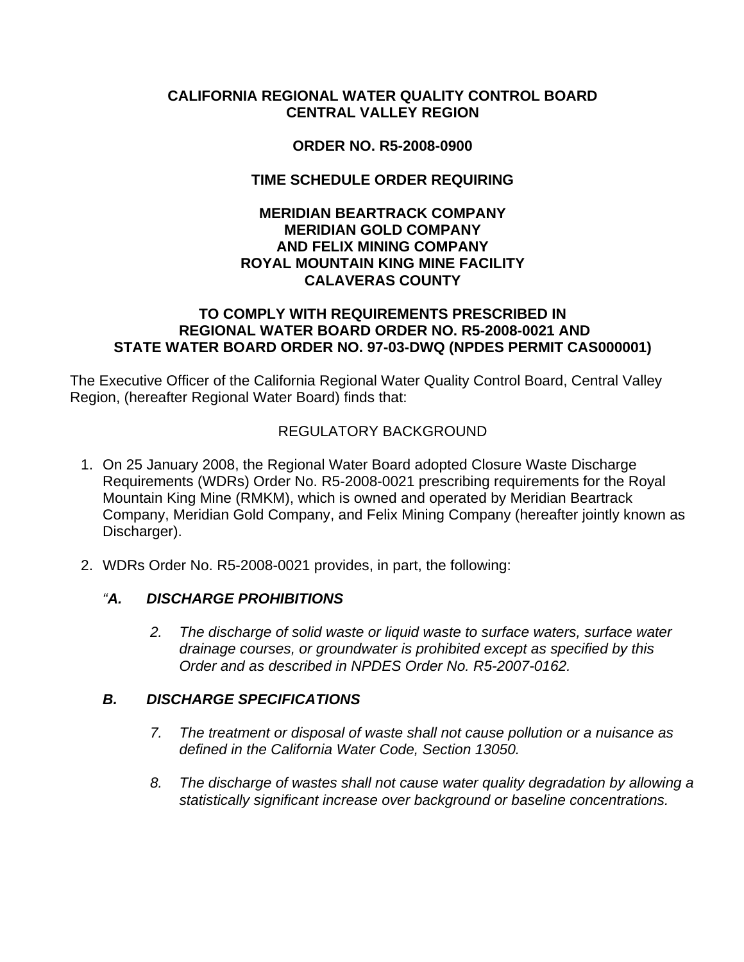## **CALIFORNIA REGIONAL WATER QUALITY CONTROL BOARD CENTRAL VALLEY REGION**

## **ORDER NO. R5-2008-0900**

## **TIME SCHEDULE ORDER REQUIRING**

#### **MERIDIAN BEARTRACK COMPANY MERIDIAN GOLD COMPANY AND FELIX MINING COMPANY ROYAL MOUNTAIN KING MINE FACILITY CALAVERAS COUNTY**

#### **TO COMPLY WITH REQUIREMENTS PRESCRIBED IN REGIONAL WATER BOARD ORDER NO. R5-2008-0021 AND STATE WATER BOARD ORDER NO. 97-03-DWQ (NPDES PERMIT CAS000001)**

The Executive Officer of the California Regional Water Quality Control Board, Central Valley Region, (hereafter Regional Water Board) finds that:

## REGULATORY BACKGROUND

- 1. On 25 January 2008, the Regional Water Board adopted Closure Waste Discharge Requirements (WDRs) Order No. R5-2008-0021 prescribing requirements for the Royal Mountain King Mine (RMKM), which is owned and operated by Meridian Beartrack Company, Meridian Gold Company, and Felix Mining Company (hereafter jointly known as Discharger).
- 2. WDRs Order No. R5-2008-0021 provides, in part, the following:

## *"A. DISCHARGE PROHIBITIONS*

*2. The discharge of solid waste or liquid waste to surface waters, surface water drainage courses, or groundwater is prohibited except as specified by this Order and as described in NPDES Order No. R5-2007-0162.* 

## *B. DISCHARGE SPECIFICATIONS*

- *7. The treatment or disposal of waste shall not cause pollution or a nuisance as defined in the California Water Code, Section 13050.*
- *8. The discharge of wastes shall not cause water quality degradation by allowing a statistically significant increase over background or baseline concentrations.*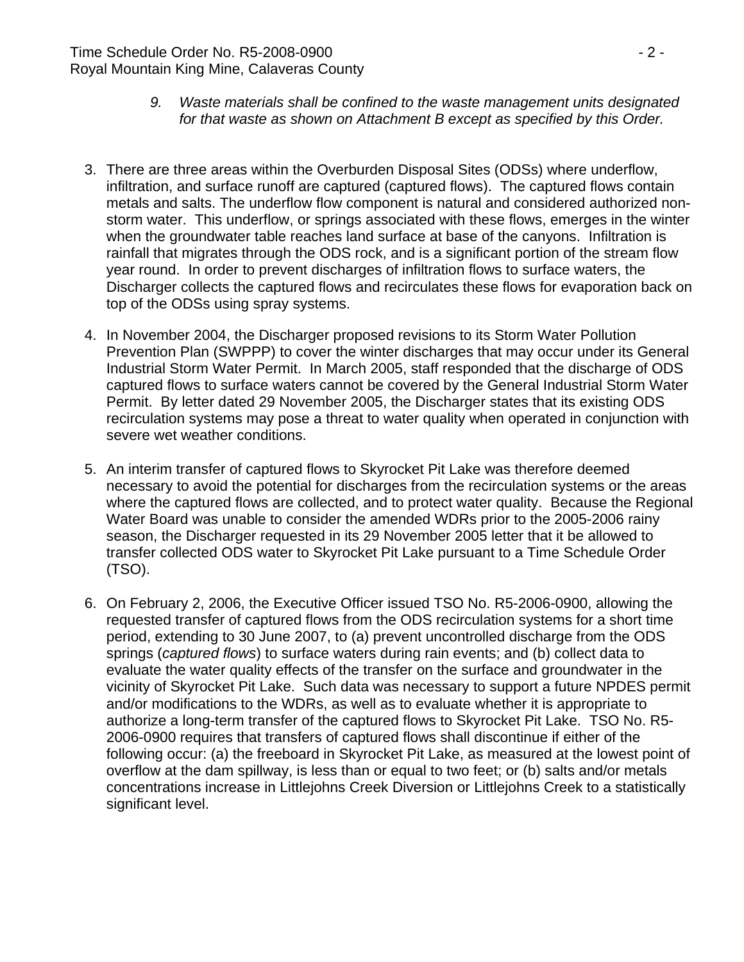- *9. Waste materials shall be confined to the waste management units designated for that waste as shown on Attachment B except as specified by this Order.*
- 3. There are three areas within the Overburden Disposal Sites (ODSs) where underflow, infiltration, and surface runoff are captured (captured flows). The captured flows contain metals and salts. The underflow flow component is natural and considered authorized nonstorm water. This underflow, or springs associated with these flows, emerges in the winter when the groundwater table reaches land surface at base of the canyons. Infiltration is rainfall that migrates through the ODS rock, and is a significant portion of the stream flow year round. In order to prevent discharges of infiltration flows to surface waters, the Discharger collects the captured flows and recirculates these flows for evaporation back on top of the ODSs using spray systems.
- 4. In November 2004, the Discharger proposed revisions to its Storm Water Pollution Prevention Plan (SWPPP) to cover the winter discharges that may occur under its General Industrial Storm Water Permit. In March 2005, staff responded that the discharge of ODS captured flows to surface waters cannot be covered by the General Industrial Storm Water Permit. By letter dated 29 November 2005, the Discharger states that its existing ODS recirculation systems may pose a threat to water quality when operated in conjunction with severe wet weather conditions.
- 5. An interim transfer of captured flows to Skyrocket Pit Lake was therefore deemed necessary to avoid the potential for discharges from the recirculation systems or the areas where the captured flows are collected, and to protect water quality. Because the Regional Water Board was unable to consider the amended WDRs prior to the 2005-2006 rainy season, the Discharger requested in its 29 November 2005 letter that it be allowed to transfer collected ODS water to Skyrocket Pit Lake pursuant to a Time Schedule Order (TSO).
- 6. On February 2, 2006, the Executive Officer issued TSO No. R5-2006-0900, allowing the requested transfer of captured flows from the ODS recirculation systems for a short time period, extending to 30 June 2007, to (a) prevent uncontrolled discharge from the ODS springs (*captured flows*) to surface waters during rain events; and (b) collect data to evaluate the water quality effects of the transfer on the surface and groundwater in the vicinity of Skyrocket Pit Lake. Such data was necessary to support a future NPDES permit and/or modifications to the WDRs, as well as to evaluate whether it is appropriate to authorize a long-term transfer of the captured flows to Skyrocket Pit Lake. TSO No. R5- 2006-0900 requires that transfers of captured flows shall discontinue if either of the following occur: (a) the freeboard in Skyrocket Pit Lake, as measured at the lowest point of overflow at the dam spillway, is less than or equal to two feet; or (b) salts and/or metals concentrations increase in Littlejohns Creek Diversion or Littlejohns Creek to a statistically significant level.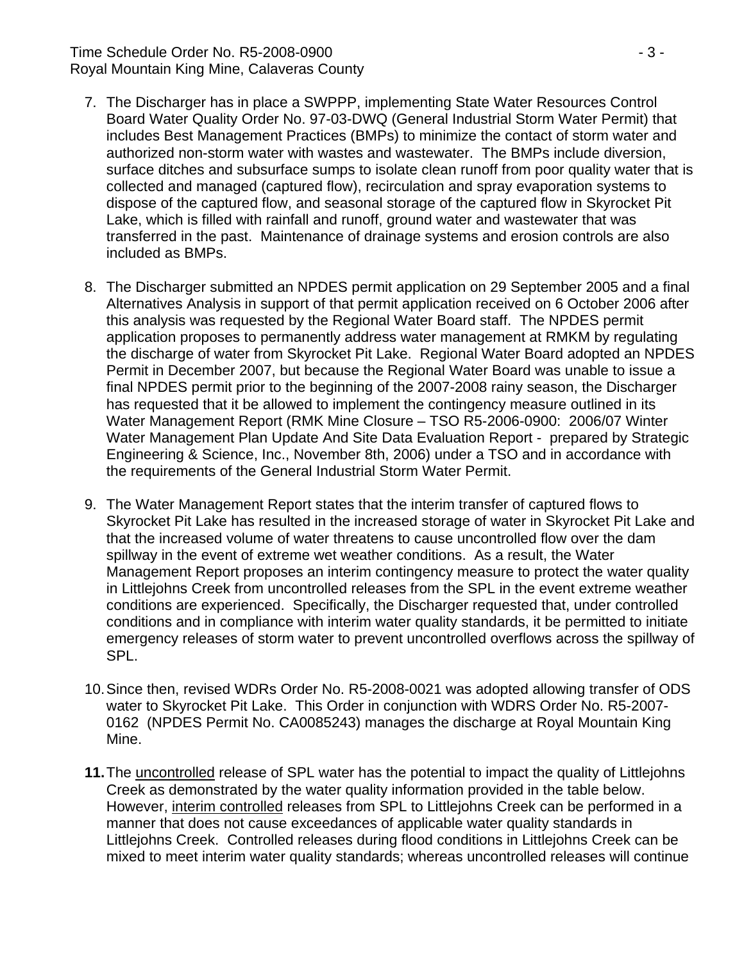## Time Schedule Order No. R5-2008-0900 - 3 - Royal Mountain King Mine, Calaveras County

- 7. The Discharger has in place a SWPPP, implementing State Water Resources Control Board Water Quality Order No. 97-03-DWQ (General Industrial Storm Water Permit) that includes Best Management Practices (BMPs) to minimize the contact of storm water and authorized non-storm water with wastes and wastewater. The BMPs include diversion, surface ditches and subsurface sumps to isolate clean runoff from poor quality water that is collected and managed (captured flow), recirculation and spray evaporation systems to dispose of the captured flow, and seasonal storage of the captured flow in Skyrocket Pit Lake, which is filled with rainfall and runoff, ground water and wastewater that was transferred in the past. Maintenance of drainage systems and erosion controls are also included as BMPs.
- 8. The Discharger submitted an NPDES permit application on 29 September 2005 and a final Alternatives Analysis in support of that permit application received on 6 October 2006 after this analysis was requested by the Regional Water Board staff. The NPDES permit application proposes to permanently address water management at RMKM by regulating the discharge of water from Skyrocket Pit Lake. Regional Water Board adopted an NPDES Permit in December 2007, but because the Regional Water Board was unable to issue a final NPDES permit prior to the beginning of the 2007-2008 rainy season, the Discharger has requested that it be allowed to implement the contingency measure outlined in its Water Management Report (RMK Mine Closure – TSO R5-2006-0900: 2006/07 Winter Water Management Plan Update And Site Data Evaluation Report - prepared by Strategic Engineering & Science, Inc., November 8th, 2006) under a TSO and in accordance with the requirements of the General Industrial Storm Water Permit.
- 9. The Water Management Report states that the interim transfer of captured flows to Skyrocket Pit Lake has resulted in the increased storage of water in Skyrocket Pit Lake and that the increased volume of water threatens to cause uncontrolled flow over the dam spillway in the event of extreme wet weather conditions. As a result, the Water Management Report proposes an interim contingency measure to protect the water quality in Littlejohns Creek from uncontrolled releases from the SPL in the event extreme weather conditions are experienced. Specifically, the Discharger requested that, under controlled conditions and in compliance with interim water quality standards, it be permitted to initiate emergency releases of storm water to prevent uncontrolled overflows across the spillway of SPL.
- 10. Since then, revised WDRs Order No. R5-2008-0021 was adopted allowing transfer of ODS water to Skyrocket Pit Lake. This Order in conjunction with WDRS Order No. R5-2007- 0162 (NPDES Permit No. CA0085243) manages the discharge at Royal Mountain King Mine.
- **11.** The uncontrolled release of SPL water has the potential to impact the quality of Littlejohns Creek as demonstrated by the water quality information provided in the table below. However, interim controlled releases from SPL to Littlejohns Creek can be performed in a manner that does not cause exceedances of applicable water quality standards in Littlejohns Creek. Controlled releases during flood conditions in Littlejohns Creek can be mixed to meet interim water quality standards; whereas uncontrolled releases will continue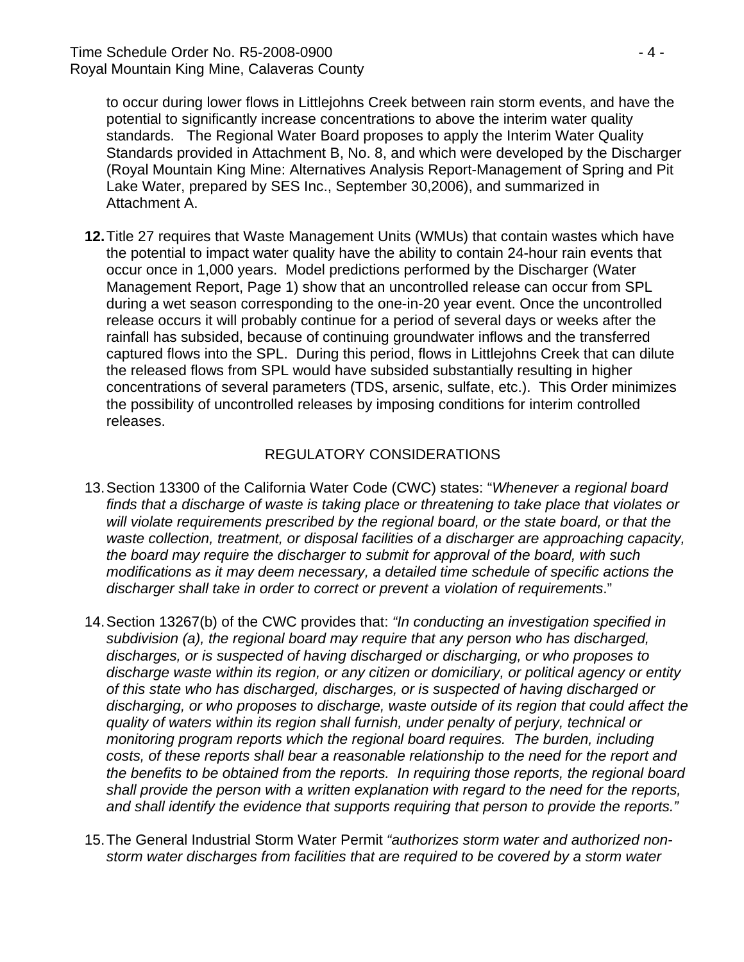to occur during lower flows in Littlejohns Creek between rain storm events, and have the potential to significantly increase concentrations to above the interim water quality standards. The Regional Water Board proposes to apply the Interim Water Quality Standards provided in Attachment B, No. 8, and which were developed by the Discharger (Royal Mountain King Mine: Alternatives Analysis Report-Management of Spring and Pit Lake Water, prepared by SES Inc., September 30,2006), and summarized in Attachment A.

**12.** Title 27 requires that Waste Management Units (WMUs) that contain wastes which have the potential to impact water quality have the ability to contain 24-hour rain events that occur once in 1,000 years. Model predictions performed by the Discharger (Water Management Report, Page 1) show that an uncontrolled release can occur from SPL during a wet season corresponding to the one-in-20 year event. Once the uncontrolled release occurs it will probably continue for a period of several days or weeks after the rainfall has subsided, because of continuing groundwater inflows and the transferred captured flows into the SPL. During this period, flows in Littlejohns Creek that can dilute the released flows from SPL would have subsided substantially resulting in higher concentrations of several parameters (TDS, arsenic, sulfate, etc.). This Order minimizes the possibility of uncontrolled releases by imposing conditions for interim controlled releases.

# REGULATORY CONSIDERATIONS

- 13. Section 13300 of the California Water Code (CWC) states: "*Whenever a regional board finds that a discharge of waste is taking place or threatening to take place that violates or will violate requirements prescribed by the regional board, or the state board, or that the waste collection, treatment, or disposal facilities of a discharger are approaching capacity, the board may require the discharger to submit for approval of the board, with such modifications as it may deem necessary, a detailed time schedule of specific actions the discharger shall take in order to correct or prevent a violation of requirements*."
- 14. Section 13267(b) of the CWC provides that: *"In conducting an investigation specified in subdivision (a), the regional board may require that any person who has discharged, discharges, or is suspected of having discharged or discharging, or who proposes to discharge waste within its region, or any citizen or domiciliary, or political agency or entity of this state who has discharged, discharges, or is suspected of having discharged or discharging, or who proposes to discharge, waste outside of its region that could affect the quality of waters within its region shall furnish, under penalty of perjury, technical or monitoring program reports which the regional board requires. The burden, including costs, of these reports shall bear a reasonable relationship to the need for the report and the benefits to be obtained from the reports. In requiring those reports, the regional board shall provide the person with a written explanation with regard to the need for the reports, and shall identify the evidence that supports requiring that person to provide the reports."*
- 15. The General Industrial Storm Water Permit *"authorizes storm water and authorized nonstorm water discharges from facilities that are required to be covered by a storm water*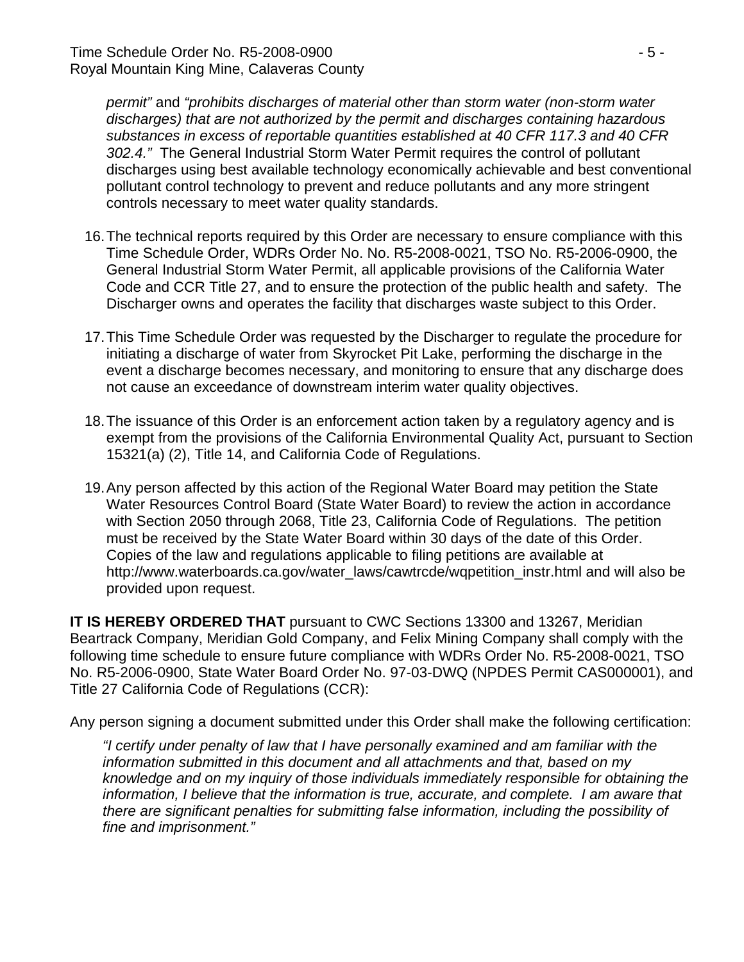*permit"* and *"prohibits discharges of material other than storm water (non-storm water discharges) that are not authorized by the permit and discharges containing hazardous substances in excess of reportable quantities established at 40 CFR 117.3 and 40 CFR 302.4."* The General Industrial Storm Water Permit requires the control of pollutant discharges using best available technology economically achievable and best conventional pollutant control technology to prevent and reduce pollutants and any more stringent controls necessary to meet water quality standards.

- 16. The technical reports required by this Order are necessary to ensure compliance with this Time Schedule Order, WDRs Order No. No. R5-2008-0021, TSO No. R5-2006-0900, the General Industrial Storm Water Permit, all applicable provisions of the California Water Code and CCR Title 27, and to ensure the protection of the public health and safety. The Discharger owns and operates the facility that discharges waste subject to this Order.
- 17. This Time Schedule Order was requested by the Discharger to regulate the procedure for initiating a discharge of water from Skyrocket Pit Lake, performing the discharge in the event a discharge becomes necessary, and monitoring to ensure that any discharge does not cause an exceedance of downstream interim water quality objectives.
- 18. The issuance of this Order is an enforcement action taken by a regulatory agency and is exempt from the provisions of the California Environmental Quality Act, pursuant to Section 15321(a) (2), Title 14, and California Code of Regulations.
- 19. Any person affected by this action of the Regional Water Board may petition the State Water Resources Control Board (State Water Board) to review the action in accordance with Section 2050 through 2068, Title 23, California Code of Regulations. The petition must be received by the State Water Board within 30 days of the date of this Order. Copies of the law and regulations applicable to filing petitions are available at http://www.waterboards.ca.gov/water\_laws/cawtrcde/wqpetition\_instr.html and will also be provided upon request.

**IT IS HEREBY ORDERED THAT** pursuant to CWC Sections 13300 and 13267, Meridian Beartrack Company, Meridian Gold Company, and Felix Mining Company shall comply with the following time schedule to ensure future compliance with WDRs Order No. R5-2008-0021, TSO No. R5-2006-0900, State Water Board Order No. 97-03-DWQ (NPDES Permit CAS000001), and Title 27 California Code of Regulations (CCR):

Any person signing a document submitted under this Order shall make the following certification:

*"I certify under penalty of law that I have personally examined and am familiar with the information submitted in this document and all attachments and that, based on my knowledge and on my inquiry of those individuals immediately responsible for obtaining the information, I believe that the information is true, accurate, and complete. I am aware that there are significant penalties for submitting false information, including the possibility of fine and imprisonment."*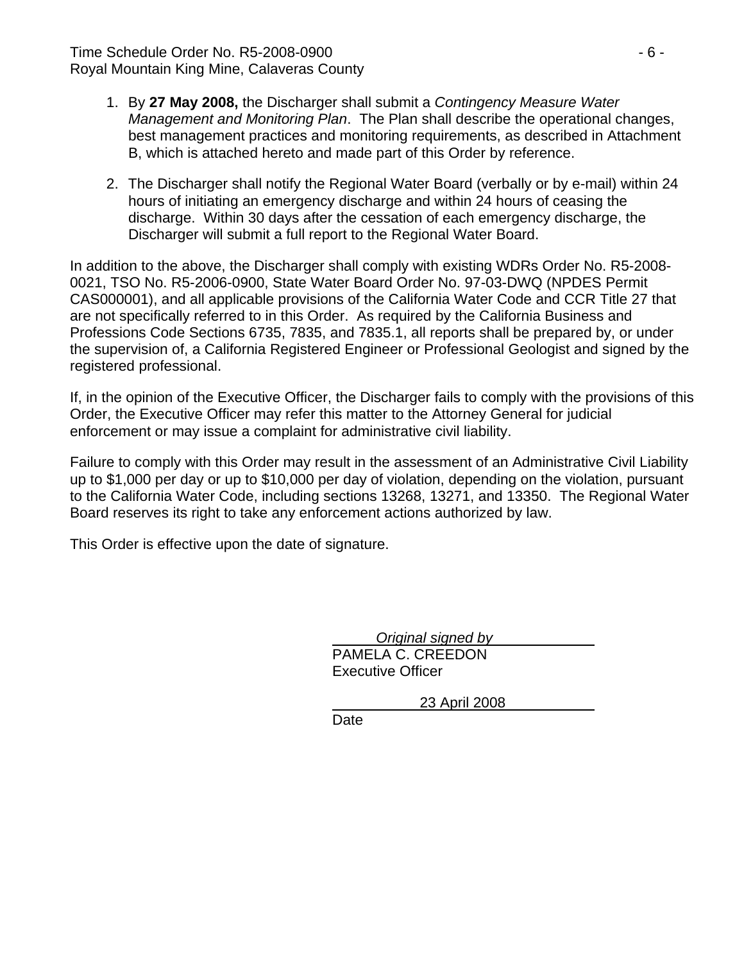- 1. By **27 May 2008,** the Discharger shall submit a *Contingency Measure Water Management and Monitoring Plan*. The Plan shall describe the operational changes, best management practices and monitoring requirements, as described in Attachment B, which is attached hereto and made part of this Order by reference.
- 2. The Discharger shall notify the Regional Water Board (verbally or by e-mail) within 24 hours of initiating an emergency discharge and within 24 hours of ceasing the discharge. Within 30 days after the cessation of each emergency discharge, the Discharger will submit a full report to the Regional Water Board.

In addition to the above, the Discharger shall comply with existing WDRs Order No. R5-2008- 0021, TSO No. R5-2006-0900, State Water Board Order No. 97-03-DWQ (NPDES Permit CAS000001), and all applicable provisions of the California Water Code and CCR Title 27 that are not specifically referred to in this Order. As required by the California Business and Professions Code Sections 6735, 7835, and 7835.1, all reports shall be prepared by, or under the supervision of, a California Registered Engineer or Professional Geologist and signed by the registered professional.

If, in the opinion of the Executive Officer, the Discharger fails to comply with the provisions of this Order, the Executive Officer may refer this matter to the Attorney General for judicial enforcement or may issue a complaint for administrative civil liability.

Failure to comply with this Order may result in the assessment of an Administrative Civil Liability up to \$1,000 per day or up to \$10,000 per day of violation, depending on the violation, pursuant to the California Water Code, including sections 13268, 13271, and 13350. The Regional Water Board reserves its right to take any enforcement actions authorized by law.

This Order is effective upon the date of signature.

 *Original signed by* PAMELA C. CREEDON Executive Officer

23 April 2008

Date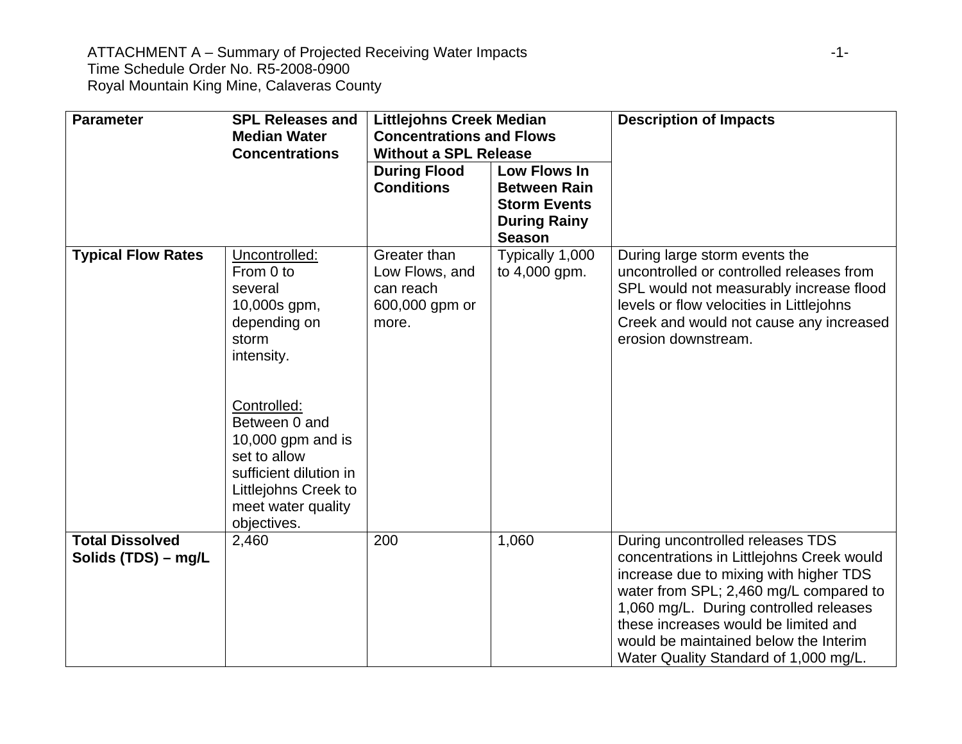## ATTACHMENT A – Summary of Projected Receiving Water Impacts -1- Time Schedule Order No. R5-2008-0900 Royal Mountain King Mine, Calaveras County

| <b>Parameter</b>                              | <b>SPL Releases and</b><br><b>Median Water</b><br><b>Concentrations</b>                                                                                                                                                                                  | <b>Littlejohns Creek Median</b><br><b>Concentrations and Flows</b><br><b>Without a SPL Release</b> |                                                                                                           | <b>Description of Impacts</b>                                                                                                                                                                                                                                                                                                         |
|-----------------------------------------------|----------------------------------------------------------------------------------------------------------------------------------------------------------------------------------------------------------------------------------------------------------|----------------------------------------------------------------------------------------------------|-----------------------------------------------------------------------------------------------------------|---------------------------------------------------------------------------------------------------------------------------------------------------------------------------------------------------------------------------------------------------------------------------------------------------------------------------------------|
|                                               |                                                                                                                                                                                                                                                          | <b>During Flood</b><br><b>Conditions</b>                                                           | <b>Low Flows In</b><br><b>Between Rain</b><br><b>Storm Events</b><br><b>During Rainy</b><br><b>Season</b> |                                                                                                                                                                                                                                                                                                                                       |
| <b>Typical Flow Rates</b>                     | Uncontrolled:<br>From 0 to<br>several<br>10,000s gpm,<br>depending on<br>storm<br>intensity.<br>Controlled:<br>Between 0 and<br>10,000 gpm and is<br>set to allow<br>sufficient dilution in<br>Littlejohns Creek to<br>meet water quality<br>objectives. | Greater than<br>Low Flows, and<br>can reach<br>600,000 gpm or<br>more.                             | Typically 1,000<br>to 4,000 gpm.                                                                          | During large storm events the<br>uncontrolled or controlled releases from<br>SPL would not measurably increase flood<br>levels or flow velocities in Littlejohns<br>Creek and would not cause any increased<br>erosion downstream.                                                                                                    |
| <b>Total Dissolved</b><br>Solids (TDS) – mg/L | 2,460                                                                                                                                                                                                                                                    | 200                                                                                                | 1,060                                                                                                     | During uncontrolled releases TDS<br>concentrations in Littlejohns Creek would<br>increase due to mixing with higher TDS<br>water from SPL; 2,460 mg/L compared to<br>1,060 mg/L. During controlled releases<br>these increases would be limited and<br>would be maintained below the Interim<br>Water Quality Standard of 1,000 mg/L. |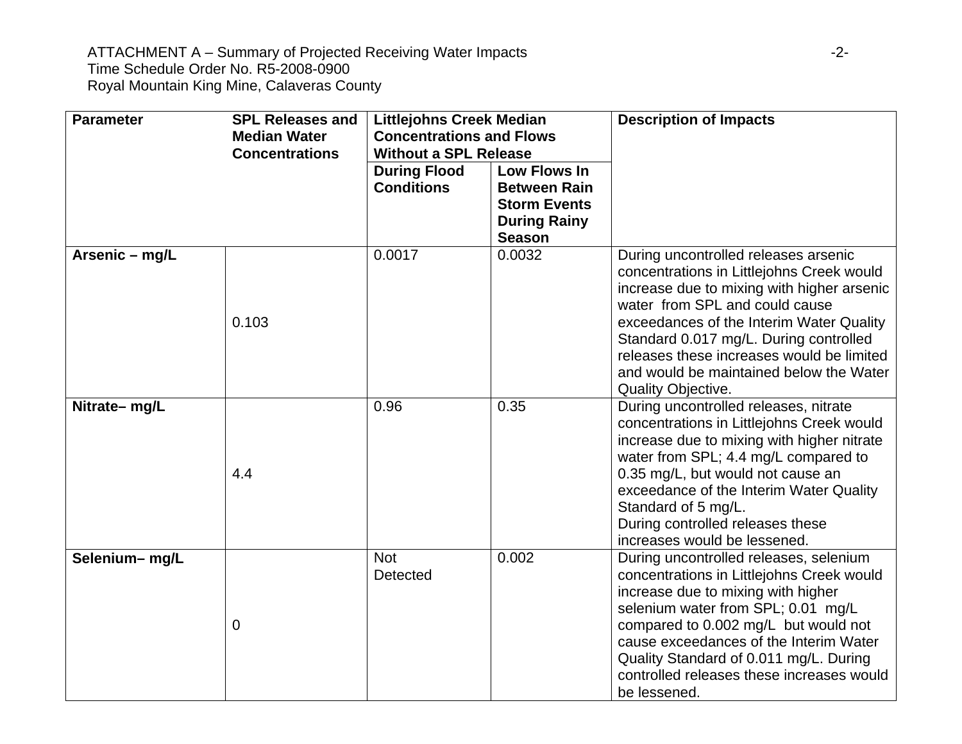| <b>Parameter</b> | <b>SPL Releases and</b><br><b>Median Water</b><br><b>Concentrations</b> | <b>Littlejohns Creek Median</b><br><b>Concentrations and Flows</b><br><b>Without a SPL Release</b> |                                                                                                    | <b>Description of Impacts</b>                                                                                                                                                                                                                                                                                                                                                |
|------------------|-------------------------------------------------------------------------|----------------------------------------------------------------------------------------------------|----------------------------------------------------------------------------------------------------|------------------------------------------------------------------------------------------------------------------------------------------------------------------------------------------------------------------------------------------------------------------------------------------------------------------------------------------------------------------------------|
|                  |                                                                         | <b>During Flood</b><br><b>Conditions</b>                                                           | Low Flows In<br><b>Between Rain</b><br><b>Storm Events</b><br><b>During Rainy</b><br><b>Season</b> |                                                                                                                                                                                                                                                                                                                                                                              |
| Arsenic - mg/L   | 0.103                                                                   | 0.0017                                                                                             | 0.0032                                                                                             | During uncontrolled releases arsenic<br>concentrations in Littlejohns Creek would<br>increase due to mixing with higher arsenic<br>water from SPL and could cause<br>exceedances of the Interim Water Quality<br>Standard 0.017 mg/L. During controlled<br>releases these increases would be limited<br>and would be maintained below the Water<br><b>Quality Objective.</b> |
| Nitrate-mg/L     | 4.4                                                                     | 0.96                                                                                               | 0.35                                                                                               | During uncontrolled releases, nitrate<br>concentrations in Littlejohns Creek would<br>increase due to mixing with higher nitrate<br>water from SPL; 4.4 mg/L compared to<br>0.35 mg/L, but would not cause an<br>exceedance of the Interim Water Quality<br>Standard of 5 mg/L.<br>During controlled releases these<br>increases would be lessened.                          |
| Selenium-mg/L    | 0                                                                       | <b>Not</b><br>Detected                                                                             | 0.002                                                                                              | During uncontrolled releases, selenium<br>concentrations in Littlejohns Creek would<br>increase due to mixing with higher<br>selenium water from SPL; 0.01 mg/L<br>compared to 0.002 mg/L but would not<br>cause exceedances of the Interim Water<br>Quality Standard of 0.011 mg/L. During<br>controlled releases these increases would<br>be lessened.                     |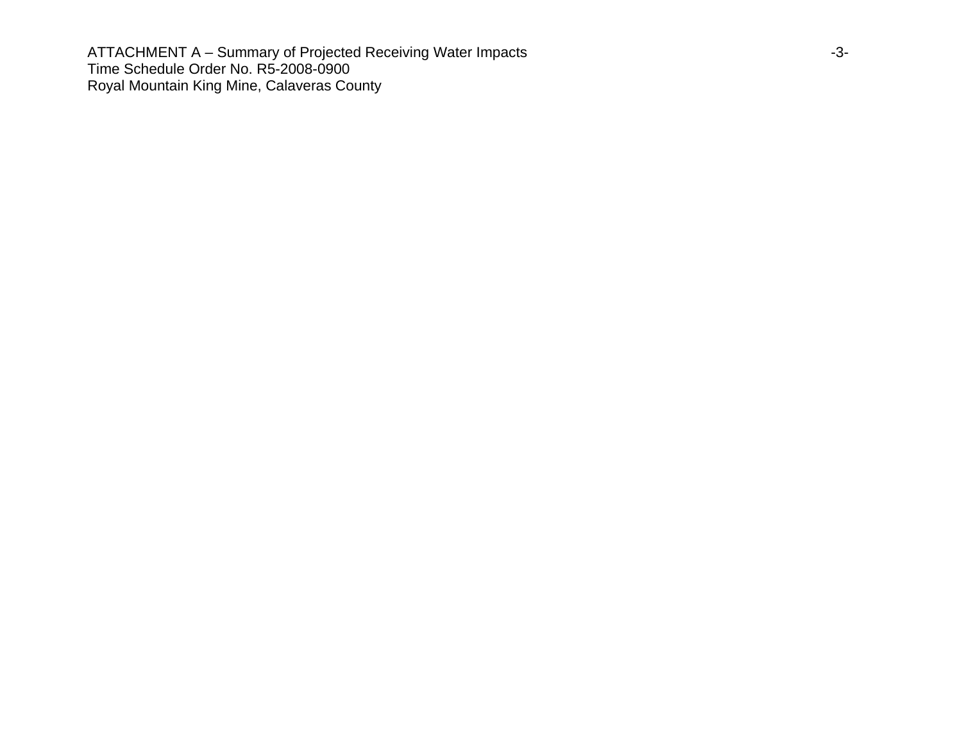ATTACHMENT A – Summary of Projected Receiving Water Impacts **ATTACHMENT A** – 3-Time Schedule Order No. R5-2008-0900 Royal Mountain King Mine, Calaveras County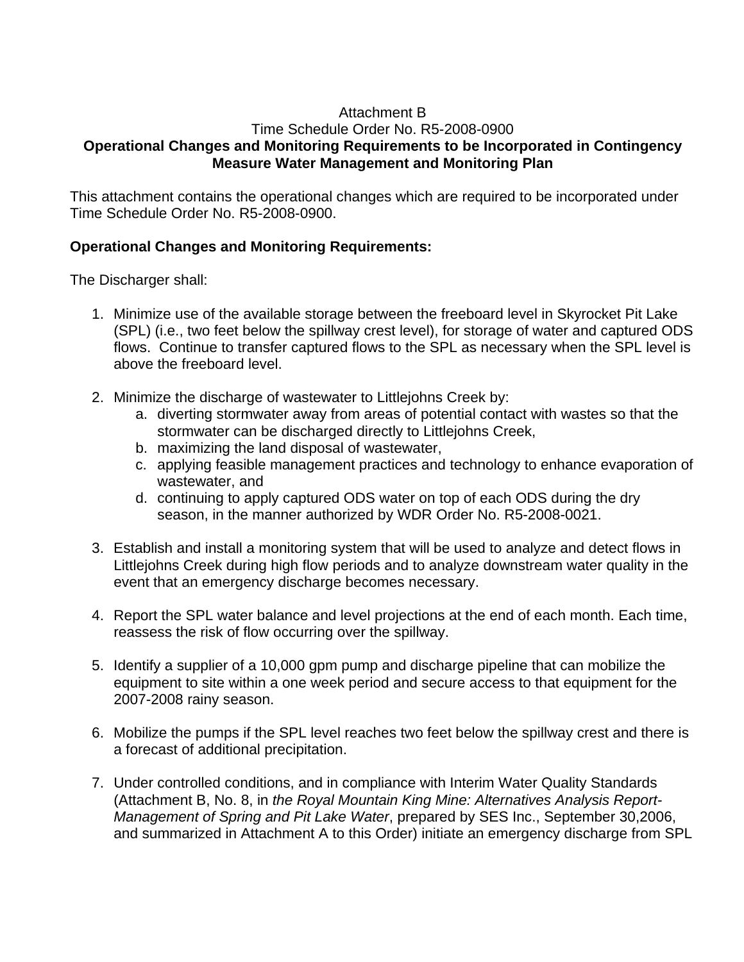# Attachment B

#### Time Schedule Order No. R5-2008-0900 **Operational Changes and Monitoring Requirements to be Incorporated in Contingency Measure Water Management and Monitoring Plan**

This attachment contains the operational changes which are required to be incorporated under Time Schedule Order No. R5-2008-0900.

# **Operational Changes and Monitoring Requirements:**

The Discharger shall:

- 1. Minimize use of the available storage between the freeboard level in Skyrocket Pit Lake (SPL) (i.e., two feet below the spillway crest level), for storage of water and captured ODS flows. Continue to transfer captured flows to the SPL as necessary when the SPL level is above the freeboard level.
- 2. Minimize the discharge of wastewater to Littlejohns Creek by:
	- a. diverting stormwater away from areas of potential contact with wastes so that the stormwater can be discharged directly to Littlejohns Creek,
	- b. maximizing the land disposal of wastewater,
	- c. applying feasible management practices and technology to enhance evaporation of wastewater, and
	- d. continuing to apply captured ODS water on top of each ODS during the dry season, in the manner authorized by WDR Order No. R5-2008-0021.
- 3. Establish and install a monitoring system that will be used to analyze and detect flows in Littlejohns Creek during high flow periods and to analyze downstream water quality in the event that an emergency discharge becomes necessary.
- 4. Report the SPL water balance and level projections at the end of each month. Each time, reassess the risk of flow occurring over the spillway.
- 5. Identify a supplier of a 10,000 gpm pump and discharge pipeline that can mobilize the equipment to site within a one week period and secure access to that equipment for the 2007-2008 rainy season.
- 6. Mobilize the pumps if the SPL level reaches two feet below the spillway crest and there is a forecast of additional precipitation.
- 7. Under controlled conditions, and in compliance with Interim Water Quality Standards (Attachment B, No. 8, in *the Royal Mountain King Mine: Alternatives Analysis Report-Management of Spring and Pit Lake Water*, prepared by SES Inc., September 30,2006, and summarized in Attachment A to this Order) initiate an emergency discharge from SPL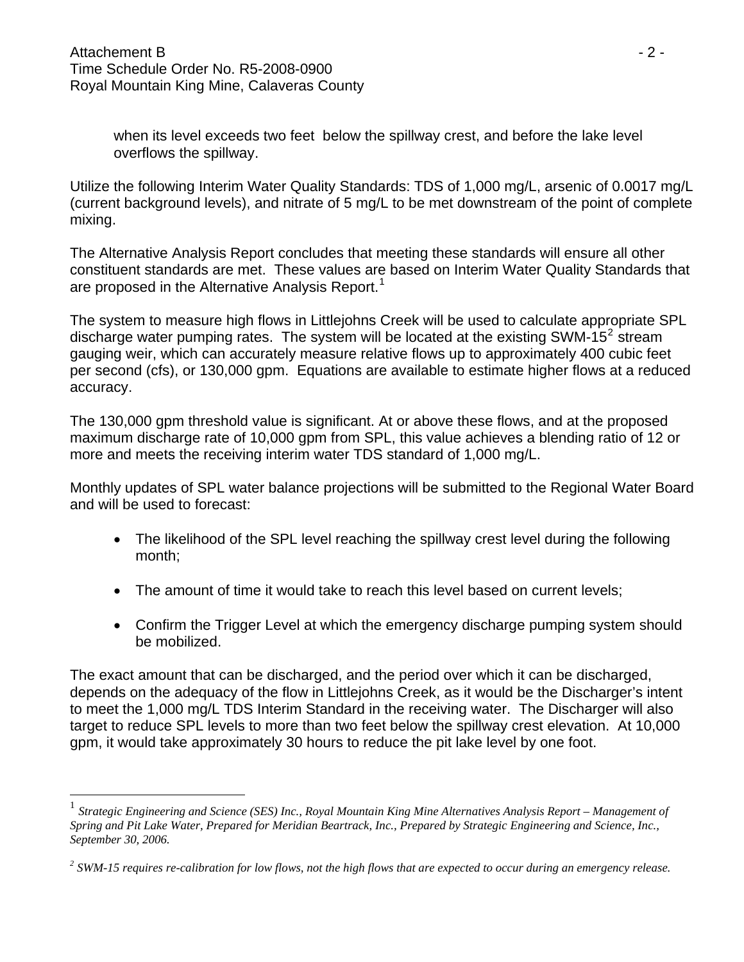$\overline{a}$ 

when its level exceeds two feet below the spillway crest, and before the lake level overflows the spillway.

Utilize the following Interim Water Quality Standards: TDS of 1,000 mg/L, arsenic of 0.0017 mg/L (current background levels), and nitrate of 5 mg/L to be met downstream of the point of complete mixing.

The Alternative Analysis Report concludes that meeting these standards will ensure all other constituent standards are met. These values are based on Interim Water Quality Standards that are proposed in the Alternative Analysis Report.<sup>[1](#page-10-0)</sup>

The system to measure high flows in Littlejohns Creek will be used to calculate appropriate SPL discharge water pumping rates. The system will be located at the existing SWM-15 $2$  stream gauging weir, which can accurately measure relative flows up to approximately 400 cubic feet per second (cfs), or 130,000 gpm. Equations are available to estimate higher flows at a reduced accuracy.

The 130,000 gpm threshold value is significant. At or above these flows, and at the proposed maximum discharge rate of 10,000 gpm from SPL, this value achieves a blending ratio of 12 or more and meets the receiving interim water TDS standard of 1,000 mg/L.

Monthly updates of SPL water balance projections will be submitted to the Regional Water Board and will be used to forecast:

- The likelihood of the SPL level reaching the spillway crest level during the following month;
- The amount of time it would take to reach this level based on current levels;
- Confirm the Trigger Level at which the emergency discharge pumping system should be mobilized.

The exact amount that can be discharged, and the period over which it can be discharged, depends on the adequacy of the flow in Littlejohns Creek, as it would be the Discharger's intent to meet the 1,000 mg/L TDS Interim Standard in the receiving water. The Discharger will also target to reduce SPL levels to more than two feet below the spillway crest elevation. At 10,000 gpm, it would take approximately 30 hours to reduce the pit lake level by one foot.

<span id="page-10-0"></span><sup>1</sup> *Strategic Engineering and Science (SES) Inc., Royal Mountain King Mine Alternatives Analysis Report – Management of Spring and Pit Lake Water, Prepared for Meridian Beartrack, Inc., Prepared by Strategic Engineering and Science, Inc., September 30, 2006.*

<span id="page-10-1"></span>*<sup>2</sup> SWM-15 requires re-calibration for low flows, not the high flows that are expected to occur during an emergency release.*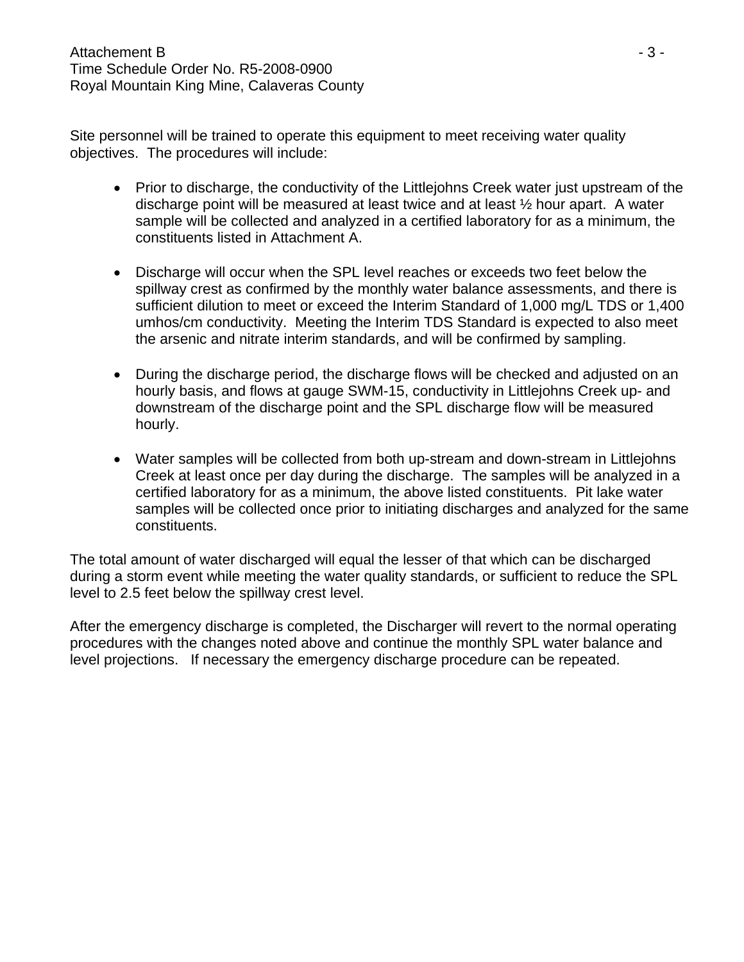Site personnel will be trained to operate this equipment to meet receiving water quality objectives. The procedures will include:

- Prior to discharge, the conductivity of the Littlejohns Creek water just upstream of the discharge point will be measured at least twice and at least ½ hour apart. A water sample will be collected and analyzed in a certified laboratory for as a minimum, the constituents listed in Attachment A.
- Discharge will occur when the SPL level reaches or exceeds two feet below the spillway crest as confirmed by the monthly water balance assessments, and there is sufficient dilution to meet or exceed the Interim Standard of 1,000 mg/L TDS or 1,400 umhos/cm conductivity. Meeting the Interim TDS Standard is expected to also meet the arsenic and nitrate interim standards, and will be confirmed by sampling.
- During the discharge period, the discharge flows will be checked and adjusted on an hourly basis, and flows at gauge SWM-15, conductivity in Littlejohns Creek up- and downstream of the discharge point and the SPL discharge flow will be measured hourly.
- Water samples will be collected from both up-stream and down-stream in Littlejohns Creek at least once per day during the discharge. The samples will be analyzed in a certified laboratory for as a minimum, the above listed constituents. Pit lake water samples will be collected once prior to initiating discharges and analyzed for the same constituents.

The total amount of water discharged will equal the lesser of that which can be discharged during a storm event while meeting the water quality standards, or sufficient to reduce the SPL level to 2.5 feet below the spillway crest level.

After the emergency discharge is completed, the Discharger will revert to the normal operating procedures with the changes noted above and continue the monthly SPL water balance and level projections. If necessary the emergency discharge procedure can be repeated.